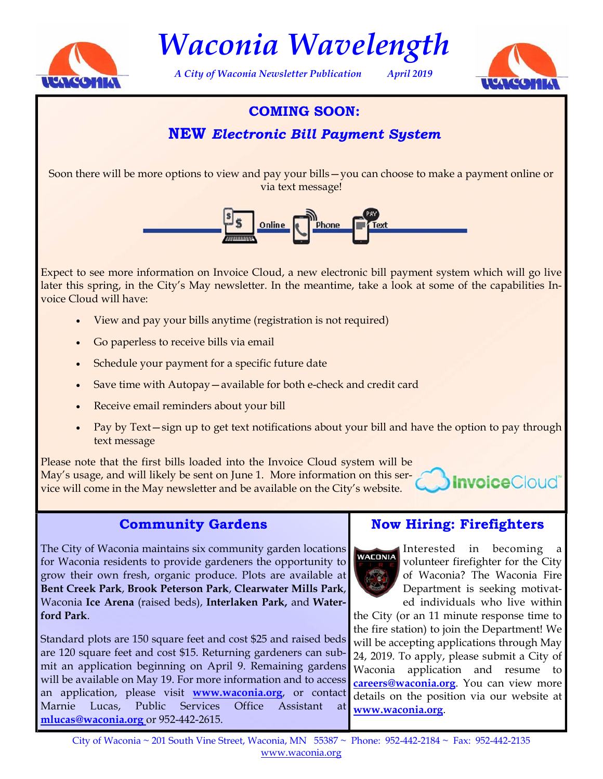

*Waconia Wavelength* 

*A City of Waconia Newsletter Publication April 2019* 



## **COMING SOON:**

# **NEW** *Electronic Bill Payment System*

Soon there will be more options to view and pay your bills—you can choose to make a payment online or via text message!



Expect to see more information on Invoice Cloud, a new electronic bill payment system which will go live later this spring, in the City's May newsletter. In the meantime, take a look at some of the capabilities Invoice Cloud will have:

- View and pay your bills anytime (registration is not required)
- Go paperless to receive bills via email
- Schedule your payment for a specific future date
- Save time with Autopay—available for both e-check and credit card
- Receive email reminders about your bill
- Pay by Text—sign up to get text notifications about your bill and have the option to pay through text message

Please note that the first bills loaded into the Invoice Cloud system will be May's usage, and will likely be sent on June 1. More information on this service will come in the May newsletter and be available on the City's website.

### **Community Gardens**

The City of Waconia maintains six community garden locations for Waconia residents to provide gardeners the opportunity to grow their own fresh, organic produce. Plots are available at **Bent Creek Park**, **Brook Peterson Park**, **Clearwater Mills Park**, Waconia **Ice Arena** (raised beds), **Interlaken Park,** and **Waterford Park**.

Standard plots are 150 square feet and cost \$25 and raised beds are 120 square feet and cost \$15. Returning gardeners can submit an application beginning on April 9. Remaining gardens will be available on May 19. For more information and to access an application, please visit **[www.waconia.org](https://www.waconia.org/439/Community-Gardens)**, or contact Marnie Lucas, Public Services Office Assistant at **[mlucas@waconia.org](mailto: mlucas@waconia.org)** or 952-442-2615.

## **Now Hiring: Firefighters**



Interested in becoming a volunteer firefighter for the City of Waconia? The Waconia Fire Department is seeking motivated individuals who live within

**Invoice**Cloud®

the City (or an 11 minute response time to the fire station) to join the Department! We will be accepting applications through May 24, 2019. To apply, please submit a City of Waconia application and resume to **[careers@waconia.org](mailto: careers@waconia.org)**. You can view more details on the position via our website at **[www.waconia.org](mailto: https://www.waconia.org/jobs.aspx)**.